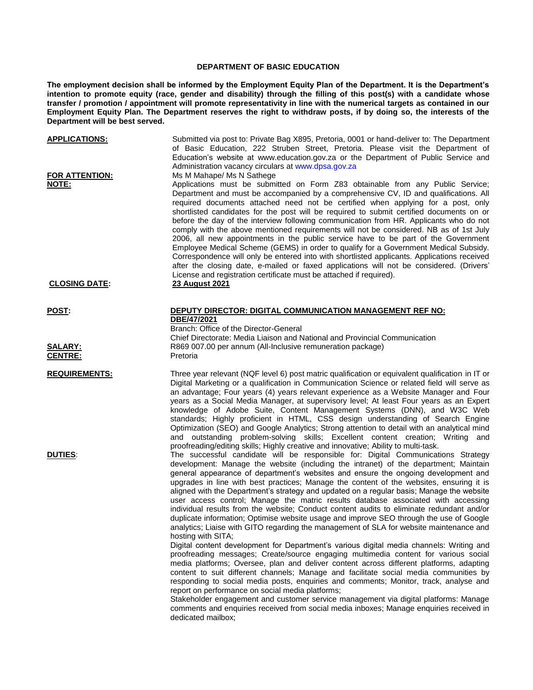## **DEPARTMENT OF BASIC EDUCATION**

**The employment decision shall be informed by the Employment Equity Plan of the Department. It is the Department's intention to promote equity (race, gender and disability) through the filling of this post(s) with a candidate whose transfer / promotion / appointment will promote representativity in line with the numerical targets as contained in our Employment Equity Plan. The Department reserves the right to withdraw posts, if by doing so, the interests of the Department will be best served.**

| <b>APPLICATIONS:</b>                  | Submitted via post to: Private Bag X895, Pretoria, 0001 or hand-deliver to: The Department<br>of Basic Education, 222 Struben Street, Pretoria. Please visit the Department of<br>Education's website at www.education.gov.za or the Department of Public Service and<br>Administration vacancy circulars at www.dpsa.gov.za                                                                                                                                                                                                                                                                                                                                                                                                                                                                                                                                                                                                                                                                                            |
|---------------------------------------|-------------------------------------------------------------------------------------------------------------------------------------------------------------------------------------------------------------------------------------------------------------------------------------------------------------------------------------------------------------------------------------------------------------------------------------------------------------------------------------------------------------------------------------------------------------------------------------------------------------------------------------------------------------------------------------------------------------------------------------------------------------------------------------------------------------------------------------------------------------------------------------------------------------------------------------------------------------------------------------------------------------------------|
| <b>FOR ATTENTION:</b><br><b>NOTE:</b> | Ms M Mahape/ Ms N Sathege<br>Applications must be submitted on Form Z83 obtainable from any Public Service;<br>Department and must be accompanied by a comprehensive CV, ID and qualifications. All<br>required documents attached need not be certified when applying for a post, only<br>shortlisted candidates for the post will be required to submit certified documents on or<br>before the day of the interview following communication from HR. Applicants who do not<br>comply with the above mentioned requirements will not be considered. NB as of 1st July<br>2006, all new appointments in the public service have to be part of the Government<br>Employee Medical Scheme (GEMS) in order to qualify for a Government Medical Subsidy.<br>Correspondence will only be entered into with shortlisted applicants. Applications received<br>after the closing date, e-mailed or faxed applications will not be considered. (Drivers'<br>License and registration certificate must be attached if required). |
| <b>CLOSING DATE:</b>                  | 23 August 2021                                                                                                                                                                                                                                                                                                                                                                                                                                                                                                                                                                                                                                                                                                                                                                                                                                                                                                                                                                                                          |
| <u>POST:</u>                          | DEPUTY DIRECTOR: DIGITAL COMMUNICATION MANAGEMENT REF NO:<br>DBE/47/2021<br>Branch: Office of the Director-General<br>Chief Directorate: Media Liaison and National and Provincial Communication                                                                                                                                                                                                                                                                                                                                                                                                                                                                                                                                                                                                                                                                                                                                                                                                                        |
| <u>SALARY:</u><br><u>CENTRE:</u>      | R869 007.00 per annum (All-Inclusive remuneration package)<br>Pretoria                                                                                                                                                                                                                                                                                                                                                                                                                                                                                                                                                                                                                                                                                                                                                                                                                                                                                                                                                  |
| <b>REQUIREMENTS:</b>                  | Three year relevant (NQF level 6) post matric qualification or equivalent qualification in IT or<br>Digital Marketing or a qualification in Communication Science or related field will serve as<br>an advantage; Four years (4) years relevant experience as a Website Manager and Four<br>years as a Social Media Manager, at supervisory level; At least Four years as an Expert<br>knowledge of Adobe Suite, Content Management Systems (DNN), and W3C Web<br>standards; Highly proficient in HTML, CSS design understanding of Search Engine<br>Optimization (SEO) and Google Analytics; Strong attention to detail with an analytical mind<br>and outstanding problem-solving skills; Excellent content creation; Writing and<br>proofreading/editing skills; Highly creative and innovative; Ability to multi-task.                                                                                                                                                                                              |
| <b>DUTIES:</b>                        | The successful candidate will be responsible for: Digital Communications Strategy<br>development: Manage the website (including the intranet) of the department; Maintain<br>general appearance of department's websites and ensure the ongoing development and<br>upgrades in line with best practices; Manage the content of the websites, ensuring it is<br>aligned with the Department's strategy and updated on a regular basis; Manage the website<br>user access control; Manage the matric results database associated with accessing<br>individual results from the website; Conduct content audits to eliminate redundant and/or<br>duplicate information; Optimise website usage and improve SEO through the use of Google<br>analytics; Liaise with GITO regarding the management of SLA for website maintenance and<br>hosting with SITA;                                                                                                                                                                  |
|                                       | Digital content development for Department's various digital media channels: Writing and<br>proofreading messages; Create/source engaging multimedia content for various social<br>media platforms; Oversee, plan and deliver content across different platforms, adapting<br>content to suit different channels; Manage and facilitate social media communities by<br>responding to social media posts, enquiries and comments; Monitor, track, analyse and<br>report on performance on social media platforms;                                                                                                                                                                                                                                                                                                                                                                                                                                                                                                        |
|                                       | Stakeholder engagement and customer service management via digital platforms: Manage<br>comments and enquiries received from social media inboxes; Manage enquiries received in<br>dedicated mailbox;                                                                                                                                                                                                                                                                                                                                                                                                                                                                                                                                                                                                                                                                                                                                                                                                                   |